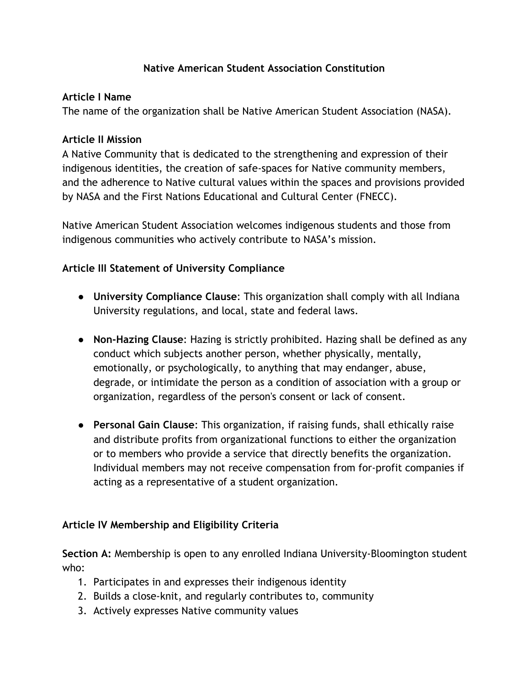#### **Native American Student Association Constitution**

#### **Article I Name**

The name of the organization shall be Native American Student Association (NASA).

#### **Article II Mission**

A Native Community that is dedicated to the strengthening and expression of their indigenous identities, the creation of safe-spaces for Native community members, and the adherence to Native cultural values within the spaces and provisions provided by NASA and the First Nations Educational and Cultural Center (FNECC).

Native American Student Association welcomes indigenous students and those from indigenous communities who actively contribute to NASA's mission.

## **Article III Statement of University Compliance**

- **University Compliance Clause**: This organization shall comply with all Indiana University regulations, and local, state and federal laws.
- **Non-Hazing Clause**: Hazing is strictly prohibited. Hazing shall be defined as any conduct which subjects another person, whether physically, mentally, emotionally, or psychologically, to anything that may endanger, abuse, degrade, or intimidate the person as a condition of association with a group or organization, regardless of the person's consent or lack of consent.
- **Personal Gain Clause**: This organization, if raising funds, shall ethically raise and distribute profits from organizational functions to either the organization or to members who provide a service that directly benefits the organization. Individual members may not receive compensation from for-profit companies if acting as a representative of a student organization.

## **Article IV Membership and Eligibility Criteria**

**Section A:** Membership is open to any enrolled Indiana University-Bloomington student who:

- 1. Participates in and expresses their indigenous identity
- 2. Builds a close-knit, and regularly contributes to, community
- 3. Actively expresses Native community values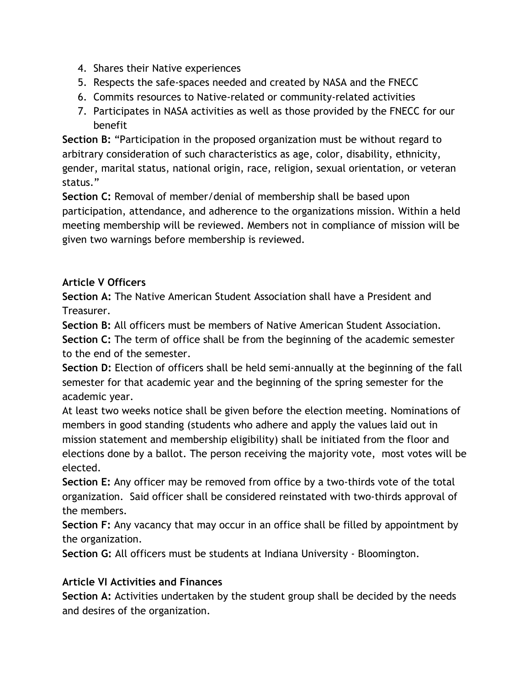- 4. Shares their Native experiences
- 5. Respects the safe-spaces needed and created by NASA and the FNECC
- 6. Commits resources to Native-related or community-related activities
- 7. Participates in NASA activities as well as those provided by the FNECC for our benefit

**Section B:** "Participation in the proposed organization must be without regard to arbitrary consideration of such characteristics as age, color, disability, ethnicity, gender, marital status, national origin, race, religion, sexual orientation, or veteran status."

**Section C:** Removal of member/denial of membership shall be based upon participation, attendance, and adherence to the organizations mission. Within a held meeting membership will be reviewed. Members not in compliance of mission will be given two warnings before membership is reviewed.

# **Article V Officers**

**Section A:** The Native American Student Association shall have a President and Treasurer.

**Section B:** All officers must be members of Native American Student Association.

**Section C:** The term of office shall be from the beginning of the academic semester to the end of the semester.

**Section D:** Election of officers shall be held semi-annually at the beginning of the fall semester for that academic year and the beginning of the spring semester for the academic year.

At least two weeks notice shall be given before the election meeting. Nominations of members in good standing (students who adhere and apply the values laid out in mission statement and membership eligibility) shall be initiated from the floor and elections done by a ballot. The person receiving the majority vote, most votes will be elected.

**Section E:** Any officer may be removed from office by a two-thirds vote of the total organization. Said officer shall be considered reinstated with two-thirds approval of the members.

**Section F:** Any vacancy that may occur in an office shall be filled by appointment by the organization.

**Section G:** All officers must be students at Indiana University - Bloomington.

## **Article VI Activities and Finances**

**Section A:** Activities undertaken by the student group shall be decided by the needs and desires of the organization.